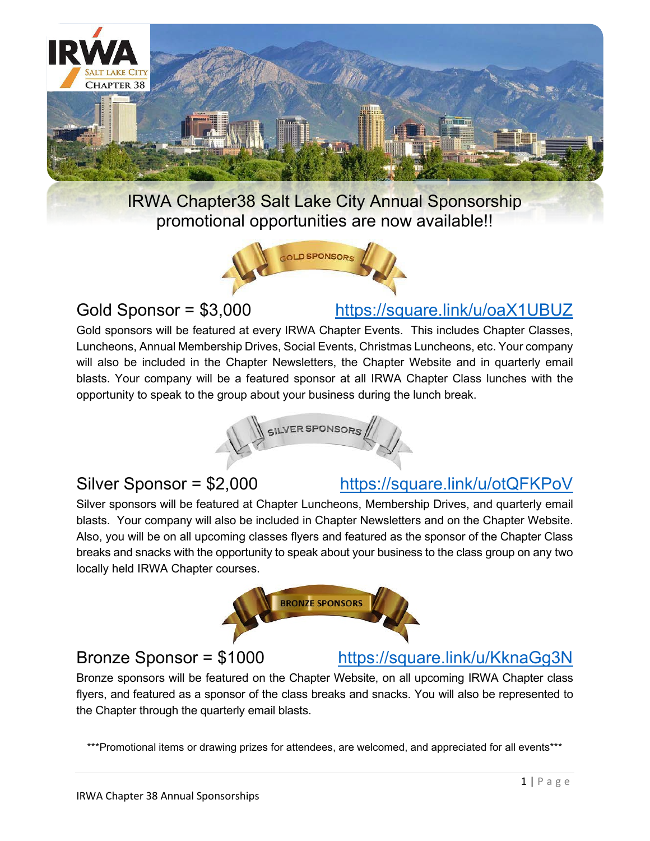

IRWA Chapter38 Salt Lake City Annual Sponsorship promotional opportunities are now available!!



Gold Sponsor = \$3,000 [https://square.link/u/oaX1UBUZ](about:blank)

Gold sponsors will be featured at every IRWA Chapter Events. This includes Chapter Classes, Luncheons, Annual Membership Drives, Social Events, Christmas Luncheons, etc. Your company will also be included in the Chapter Newsletters, the Chapter Website and in quarterly email blasts. Your company will be a featured sponsor at all IRWA Chapter Class lunches with the opportunity to speak to the group about your business during the lunch break.



# Silver Sponsor = \$2,000 <https://square.link/u/otQFKPoV>

Silver sponsors will be featured at Chapter Luncheons, Membership Drives, and quarterly email blasts. Your company will also be included in Chapter Newsletters and on the Chapter Website. Also, you will be on all upcoming classes flyers and featured as the sponsor of the Chapter Class breaks and snacks with the opportunity to speak about your business to the class group on any two locally held IRWA Chapter courses.





Bronze sponsors will be featured on the Chapter Website, on all upcoming IRWA Chapter class flyers, and featured as a sponsor of the class breaks and snacks. You will also be represented to the Chapter through the quarterly email blasts.

\*\*\*Promotional items or drawing prizes for attendees, are welcomed, and appreciated for all events\*\*\*